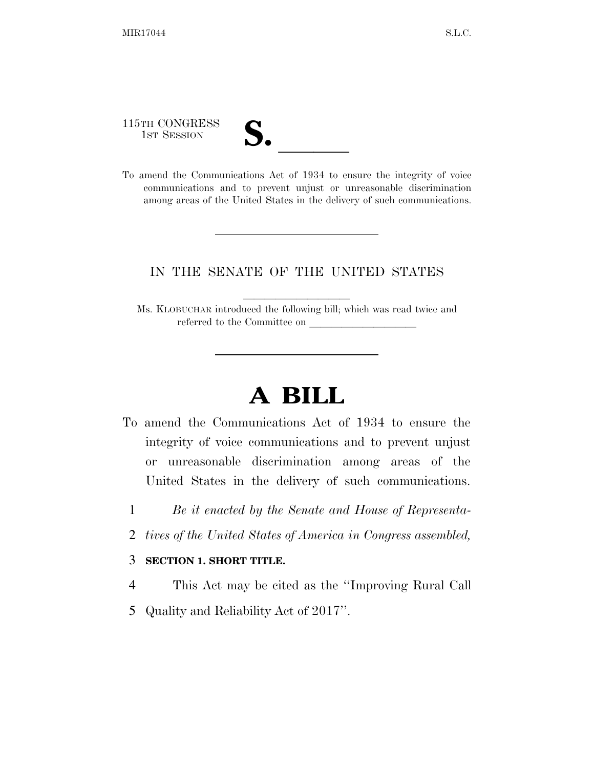115TH CONGRESS

- 
- 115TH CONGRESS<br>
1ST SESSION<br>
To amend the Communications Act of 1934 to ensure the integrity of voice communications and to prevent unjust or unreasonable discrimination among areas of the United States in the delivery of such communications.

## IN THE SENATE OF THE UNITED STATES

Ms. KLOBUCHAR introduced the following bill; which was read twice and referred to the Committee on

## **A BILL**

- To amend the Communications Act of 1934 to ensure the integrity of voice communications and to prevent unjust or unreasonable discrimination among areas of the United States in the delivery of such communications.
	- 1 *Be it enacted by the Senate and House of Representa-*
	- 2 *tives of the United States of America in Congress assembled,*

## 3 **SECTION 1. SHORT TITLE.**

- 4 This Act may be cited as the ''Improving Rural Call
- 5 Quality and Reliability Act of 2017''.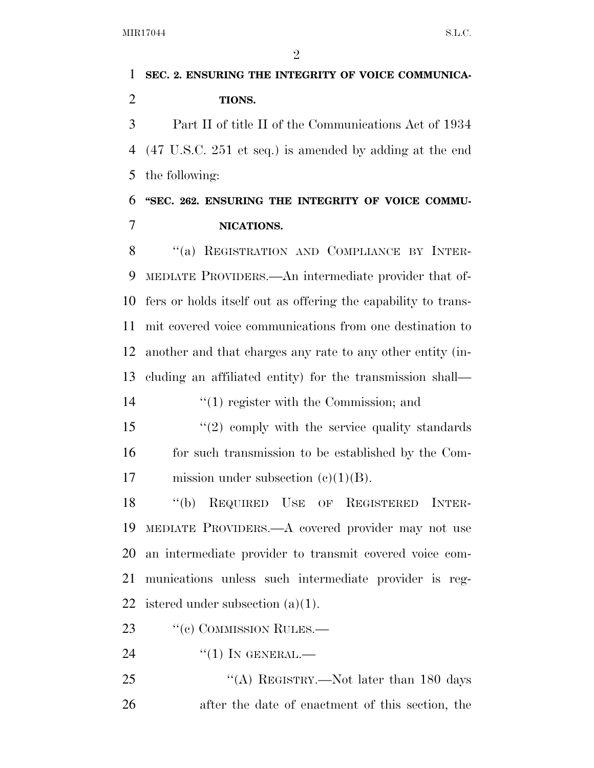$\mathfrak{D}$  **SEC. 2. ENSURING THE INTEGRITY OF VOICE COMMUNICA- TIONS.**  Part II of title II of the Communications Act of 1934 (47 U.S.C. 251 et seq.) is amended by adding at the end the following: **''SEC. 262. ENSURING THE INTEGRITY OF VOICE COMMU- NICATIONS.**  8 "(a) REGISTRATION AND COMPLIANCE BY INTER- MEDIATE PROVIDERS.—An intermediate provider that of- fers or holds itself out as offering the capability to trans- mit covered voice communications from one destination to another and that charges any rate to any other entity (in-

 cluding an affiliated entity) for the transmission shall— 14  $\frac{1}{2}$  (1) register with the Commission; and

15 "(2) comply with the service quality standards for such transmission to be established by the Com-17 mission under subsection  $(c)(1)(B)$ .

 ''(b) REQUIRED USE OF REGISTERED INTER- MEDIATE PROVIDERS.—A covered provider may not use an intermediate provider to transmit covered voice com- munications unless such intermediate provider is reg-22 istered under subsection  $(a)(1)$ .

23 "(c) COMMISSION RULES.—

 $^{(1)}$  In GENERAL.—

25 "(A) REGISTRY.—Not later than 180 days after the date of enactment of this section, the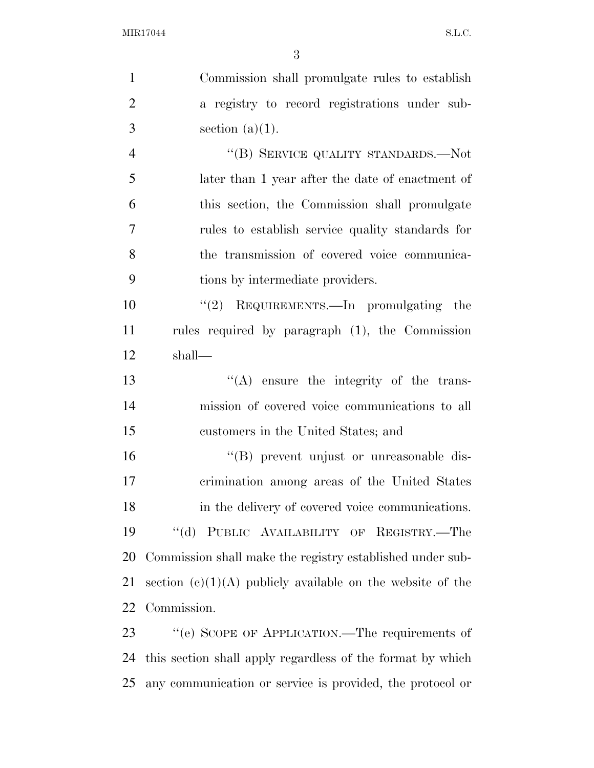Commission shall promulgate rules to establish a registry to record registrations under sub- $3 \qquad \text{section} \ (a)(1).$ 4 "(B) SERVICE QUALITY STANDARDS.—Not later than 1 year after the date of enactment of this section, the Commission shall promulgate rules to establish service quality standards for the transmission of covered voice communica- tions by intermediate providers. ''(2) REQUIREMENTS.—In promulgating the rules required by paragraph (1), the Commission shall— ''(A) ensure the integrity of the trans- mission of covered voice communications to all customers in the United States; and ''(B) prevent unjust or unreasonable dis- crimination among areas of the United States in the delivery of covered voice communications. ''(d) PUBLIC AVAILABILITY OF REGISTRY.—The Commission shall make the registry established under sub-21 section  $(c)(1)(A)$  publicly available on the website of the Commission. 23 "(e) SCOPE OF APPLICATION.—The requirements of this section shall apply regardless of the format by which

any communication or service is provided, the protocol or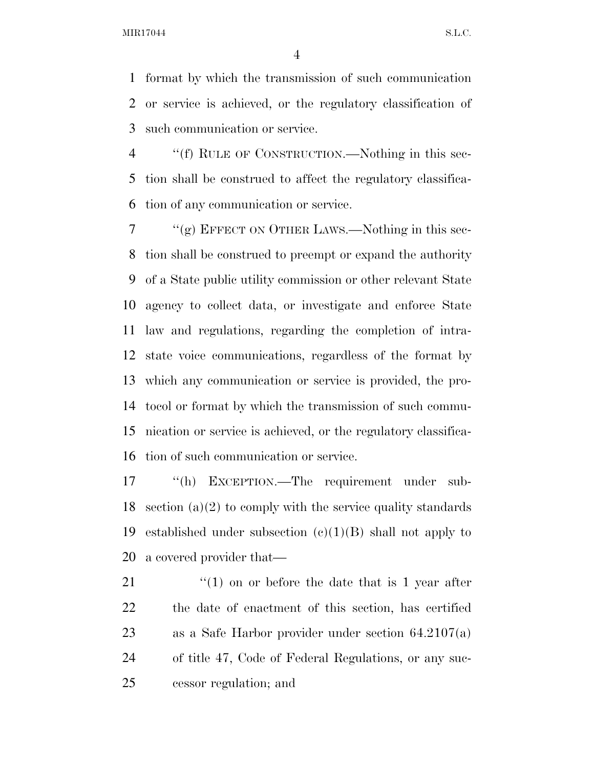MIR17044 S.L.C.

 format by which the transmission of such communication or service is achieved, or the regulatory classification of such communication or service.

 ''(f) RULE OF CONSTRUCTION.—Nothing in this sec- tion shall be construed to affect the regulatory classifica-tion of any communication or service.

 $7 \cdot$  "(g) EFFECT ON OTHER LAWS.—Nothing in this sec- tion shall be construed to preempt or expand the authority of a State public utility commission or other relevant State agency to collect data, or investigate and enforce State law and regulations, regarding the completion of intra- state voice communications, regardless of the format by which any communication or service is provided, the pro- tocol or format by which the transmission of such commu- nication or service is achieved, or the regulatory classifica-tion of such communication or service.

 ''(h) EXCEPTION.—The requirement under sub-18 section (a)(2) to comply with the service quality standards 19 established under subsection  $(e)(1)(B)$  shall not apply to a covered provider that—

21 ''(1) on or before the date that is 1 year after the date of enactment of this section, has certified as a Safe Harbor provider under section 64.2107(a) of title 47, Code of Federal Regulations, or any suc-cessor regulation; and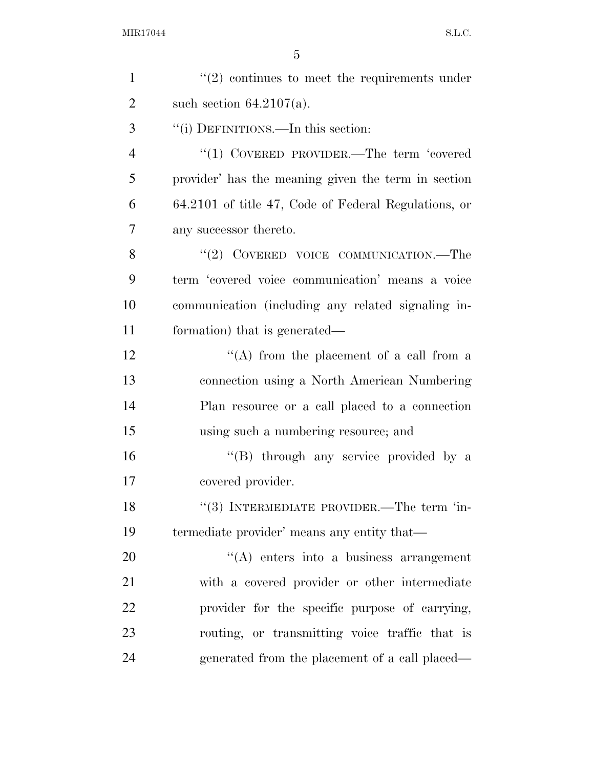| $\mathbf{1}$   | $"(2)$ continues to meet the requirements under      |
|----------------|------------------------------------------------------|
| $\overline{2}$ | such section $64.2107(a)$ .                          |
| 3              | "(i) DEFINITIONS.—In this section:                   |
| $\overline{4}$ | "(1) COVERED PROVIDER.—The term 'covered             |
| 5              | provider' has the meaning given the term in section  |
| 6              | 64.2101 of title 47, Code of Federal Regulations, or |
| $\overline{7}$ | any successor thereto.                               |
| 8              | "(2) COVERED VOICE COMMUNICATION.—The                |
| 9              | term 'covered voice communication' means a voice     |
| 10             | communication (including any related signaling in-   |
| 11             | formation) that is generated—                        |
| 12             | "(A) from the placement of a call from a             |
| 13             | connection using a North American Numbering          |
| 14             | Plan resource or a call placed to a connection       |
| 15             | using such a numbering resource; and                 |
| 16             | "(B) through any service provided by a               |
| 17             | covered provider.                                    |
| 18             | "(3) INTERMEDIATE PROVIDER.—The term 'in-            |
| 19             | termediate provider' means any entity that—          |
| 20             | $\lq\lq$ enters into a business arrangement          |
| 21             | with a covered provider or other intermediate        |
| 22             | provider for the specific purpose of carrying,       |
| 23             | routing, or transmitting voice traffic that is       |
| 24             | generated from the placement of a call placed—       |